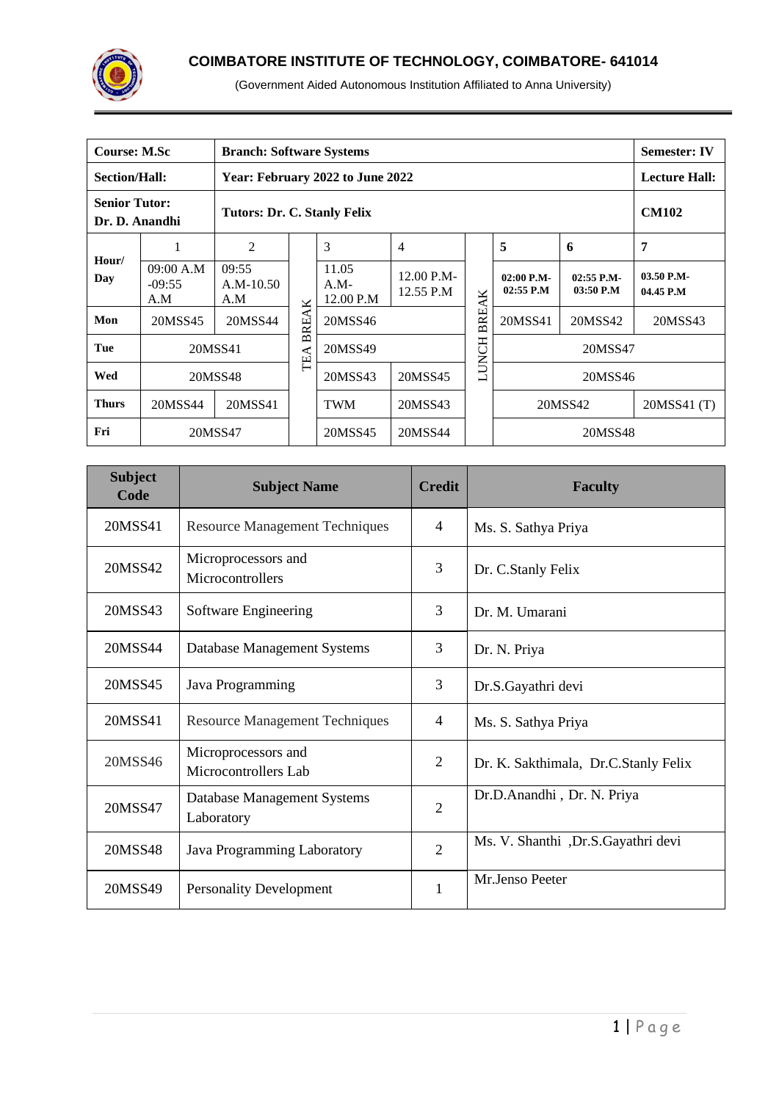

| <b>Course: M.Sc</b>  |                                                                       | <b>Branch: Software Systems</b> |                 |                                  |                         |              |                             |                           | <b>Semester: IV</b>     |  |
|----------------------|-----------------------------------------------------------------------|---------------------------------|-----------------|----------------------------------|-------------------------|--------------|-----------------------------|---------------------------|-------------------------|--|
| <b>Section/Hall:</b> |                                                                       |                                 |                 | Year: February 2022 to June 2022 |                         |              |                             |                           | <b>Lecture Hall:</b>    |  |
|                      | <b>Senior Tutor:</b><br>Tutors: Dr. C. Stanly Felix<br>Dr. D. Anandhi |                                 |                 |                                  |                         |              |                             |                           | <b>CM102</b>            |  |
|                      |                                                                       | $\overline{2}$                  |                 | 3                                | 4                       |              | 5                           | 6                         | 7                       |  |
| Hour/<br>Day         | 09:00 A.M<br>$-09:55$<br>A.M                                          | 09:55<br>$A.M-10.50$<br>A.M     | K               | 11.05<br>$A.M-$<br>12.00 P.M     | 12.00 P.M-<br>12.55 P.M |              | $02:00$ P.M-<br>$02:55$ P.M | $02:55$ P.M-<br>03:50 P.M | 03.50 P.M-<br>04.45 P.M |  |
| Mon                  | 20MSS45                                                               | 20MSS44                         | ⋖<br><b>BRE</b> | 20MSS46                          |                         | <b>BREAK</b> | 20MSS41                     | 20MSS42                   | 20MSS43                 |  |
| Tue                  |                                                                       | 20MSS41                         | TEA             | 20MSS49                          |                         | <b>LUNCH</b> |                             | 20MSS47                   |                         |  |
| Wed                  |                                                                       | 20MSS48                         |                 | 20MSS43                          | 20MSS45                 |              | 20MSS46                     |                           |                         |  |
| <b>Thurs</b>         | 20MSS44                                                               | 20MSS41                         |                 | <b>TWM</b>                       | 20MSS43                 |              | 20MSS42                     | 20MSS41 (T)               |                         |  |
| Fri                  |                                                                       | 20MSS47                         |                 | 20MSS45                          | 20MSS44                 |              |                             | 20MSS48                   |                         |  |

| <b>Subject</b><br>Code | <b>Subject Name</b>                         | <b>Credit</b>  | <b>Faculty</b>                       |
|------------------------|---------------------------------------------|----------------|--------------------------------------|
| 20MSS41                | <b>Resource Management Techniques</b>       | $\overline{4}$ | Ms. S. Sathya Priya                  |
| 20MSS42                | Microprocessors and<br>Microcontrollers     | 3              | Dr. C.Stanly Felix                   |
| 20MSS43                | Software Engineering                        | 3              | Dr. M. Umarani                       |
| 20MSS44                | Database Management Systems                 | 3              | Dr. N. Priya                         |
| 20MSS45                | Java Programming                            | 3              | Dr.S.Gayathri devi                   |
| 20MSS41                | <b>Resource Management Techniques</b>       | $\overline{4}$ | Ms. S. Sathya Priya                  |
| 20MSS46                | Microprocessors and<br>Microcontrollers Lab | $\overline{2}$ | Dr. K. Sakthimala, Dr.C.Stanly Felix |
| 20MSS47                | Database Management Systems<br>Laboratory   | $\overline{2}$ | Dr.D.Anandhi, Dr. N. Priya           |
| 20MSS48                | Java Programming Laboratory                 | $\overline{2}$ | Ms. V. Shanthi, Dr.S.Gayathri devi   |
| 20MSS49                | <b>Personality Development</b>              | 1              | Mr.Jenso Peeter                      |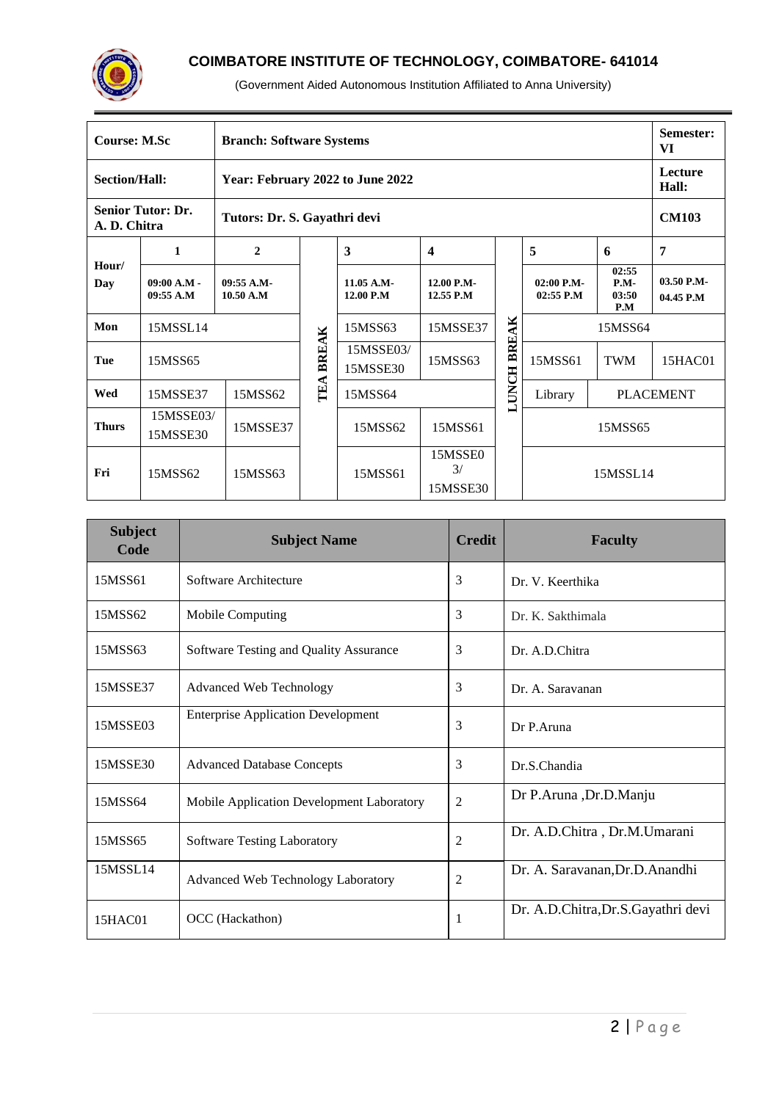

| <b>Course: M.Sc</b>  |                            | <b>Branch: Software Systems</b>  |              |                         |                                      |                  |                           |                                 | Semester:<br>VI         |
|----------------------|----------------------------|----------------------------------|--------------|-------------------------|--------------------------------------|------------------|---------------------------|---------------------------------|-------------------------|
| <b>Section/Hall:</b> |                            | Year: February 2022 to June 2022 |              |                         |                                      |                  |                           |                                 | Lecture<br>Hall:        |
| A. D. Chitra         | <b>Senior Tutor: Dr.</b>   | Tutors: Dr. S. Gayathri devi     |              |                         |                                      |                  |                           |                                 | <b>CM103</b>            |
|                      | 1                          | $\overline{2}$                   |              | 3                       | $\overline{\mathbf{4}}$              |                  | 5                         | 6                               | 7                       |
| Hour/<br><b>Day</b>  | $09:00 A.M$ -<br>09:55 A.M | $09:55 A.M-$<br>10.50 A.M        |              | 11.05 A.M-<br>12.00 P.M | 12.00 P.M-<br>12.55 P.M              |                  | 02:00 P.M-<br>$02:55$ P.M | 02:55<br>$P.M-$<br>03:50<br>P.M | 03.50 P.M-<br>04.45 P.M |
| Mon                  | 15MSSL14                   |                                  |              | 15MSS63                 | 15MSSE37                             |                  |                           | 15MSS64                         |                         |
| Tue                  | 15MSS65                    |                                  | <b>BREAK</b> | 15MSSE03/<br>15MSSE30   | 15MSS63                              | BREAK            | 15MSS61                   | <b>TWM</b>                      | 15HAC01                 |
| Wed                  | 15MSSE37                   | 15MSS62                          | TEA          | 15MSS64                 |                                      | <b>UNCH</b><br>⊐ | Library                   |                                 | <b>PLACEMENT</b>        |
| <b>Thurs</b>         | 15MSSE03/<br>15MSSE30      | 15MSSE37                         |              | 15MSS62                 | 15MSS61                              |                  | 15MSS65                   |                                 |                         |
| Fri                  | 15MSS62                    | 15MSS63                          |              | 15MSS61                 | 15MSSE0<br>$\frac{3}{2}$<br>15MSSE30 |                  |                           | 15MSSL14                        |                         |

| <b>Subject</b><br>Code | <b>Subject Name</b>                       | <b>Credit</b>  | <b>Faculty</b>                       |
|------------------------|-------------------------------------------|----------------|--------------------------------------|
| 15MSS61                | Software Architecture                     | 3              | Dr. V. Keerthika                     |
| 15MSS62                | <b>Mobile Computing</b>                   | 3              | Dr. K. Sakthimala                    |
| 15MSS63                | Software Testing and Quality Assurance    | 3              | Dr. A.D.Chitra                       |
| 15MSSE37               | <b>Advanced Web Technology</b>            | 3              | Dr. A. Saravanan                     |
| 15MSSE03               | <b>Enterprise Application Development</b> | 3              | Dr P.Aruna                           |
| 15MSSE30               | <b>Advanced Database Concepts</b>         | 3              | Dr.S.Chandia                         |
| 15MSS64                | Mobile Application Development Laboratory | $\overline{2}$ | Dr P.Aruna , Dr.D.Manju              |
| 15MSS65                | <b>Software Testing Laboratory</b>        | $\overline{2}$ | Dr. A.D.Chitra, Dr.M.Umarani         |
| 15MSSL14               | <b>Advanced Web Technology Laboratory</b> | $\overline{2}$ | Dr. A. Saravanan, Dr.D. Anandhi      |
| 15HAC01                | OCC (Hackathon)                           | 1              | Dr. A.D.Chitra, Dr. S. Gayathri devi |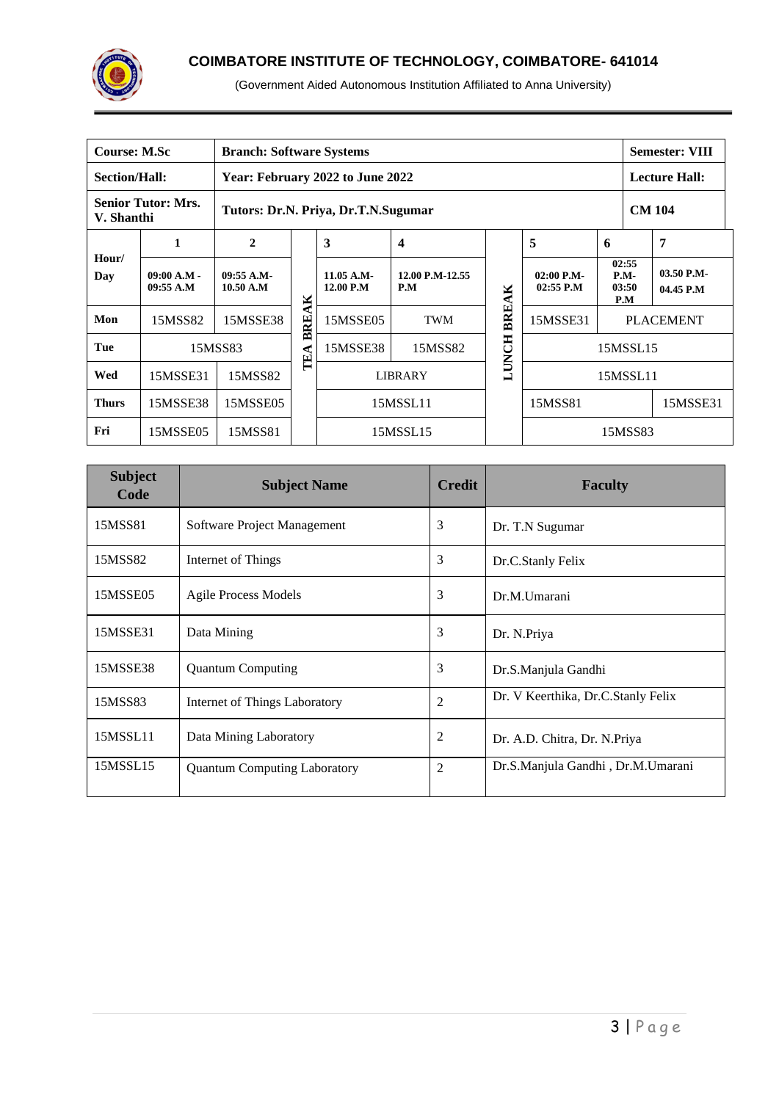

| <b>Course: M.Sc</b>                                                            |                            | <b>Branch: Software Systems</b>  |       |                           |                         |              |                             |                  | <b>Semester: VIII</b>           |                         |
|--------------------------------------------------------------------------------|----------------------------|----------------------------------|-------|---------------------------|-------------------------|--------------|-----------------------------|------------------|---------------------------------|-------------------------|
| <b>Section/Hall:</b>                                                           |                            | Year: February 2022 to June 2022 |       |                           |                         |              |                             |                  | <b>Lecture Hall:</b>            |                         |
| <b>Senior Tutor: Mrs.</b><br>Tutors: Dr.N. Priya, Dr.T.N.Sugumar<br>V. Shanthi |                            |                                  |       |                           |                         |              |                             |                  | <b>CM 104</b>                   |                         |
|                                                                                | 1                          | $\mathbf{2}$                     |       | 3                         | $\overline{\mathbf{4}}$ |              | 5                           | 6                |                                 | 7                       |
| Hour/<br>Day                                                                   | $09:00 A.M -$<br>09:55 A.M | 09:55 A.M<br>10.50 A.M           |       | $11.05$ A.M-<br>12.00 P.M | 12.00 P.M-12.55<br>P.M  | ×            | $02:00$ P.M-<br>$02:55$ P.M |                  | 02:55<br>$P.M-$<br>03:50<br>P.M | 03.50 P.M-<br>04.45 P.M |
| Mon                                                                            | 15MSS82                    | 15MSSE38                         | BREAK | 15MSSE05                  | <b>TWM</b>              | <b>BREA</b>  | 15MSSE31                    | <b>PLACEMENT</b> |                                 |                         |
| Tue                                                                            |                            | 15MSS83                          | TEA   | 15MSSE38                  | 15MSS82                 | <b>LUNCH</b> | 15MSSL15                    |                  |                                 |                         |
| Wed                                                                            | 15MSSE31                   | 15MSS82                          |       |                           | <b>LIBRARY</b>          |              | 15MSSL11                    |                  |                                 |                         |
| <b>Thurs</b>                                                                   | 15MSSE38                   | 15MSSE05                         |       |                           | 15MSSL11                |              | 15MSS81                     |                  | 15MSSE31                        |                         |
| Fri                                                                            | 15MSSE05                   | 15MSS81                          |       |                           | 15MSSL15                |              | 15MSS83                     |                  |                                 |                         |

| <b>Subject</b><br>Code | <b>Subject Name</b>                 | <b>Credit</b>  | <b>Faculty</b>                     |  |  |
|------------------------|-------------------------------------|----------------|------------------------------------|--|--|
| 15MSS81                | Software Project Management         | 3              | Dr. T.N Sugumar                    |  |  |
| 15MSS82                | Internet of Things                  | 3              | Dr.C.Stanly Felix                  |  |  |
| 15MSSE05               | <b>Agile Process Models</b>         | 3              | Dr.M.Umarani                       |  |  |
| 15MSSE31               | Data Mining                         | 3              | Dr. N.Priya                        |  |  |
| 15MSSE38               | <b>Quantum Computing</b>            | 3              | Dr.S.Manjula Gandhi                |  |  |
| 15MSS83                | Internet of Things Laboratory       | $\overline{c}$ | Dr. V Keerthika, Dr.C.Stanly Felix |  |  |
| 15MSSL11               | Data Mining Laboratory              | 2              | Dr. A.D. Chitra, Dr. N. Priya      |  |  |
| 15MSSL15               | <b>Quantum Computing Laboratory</b> | $\overline{2}$ | Dr.S.Manjula Gandhi, Dr.M.Umarani  |  |  |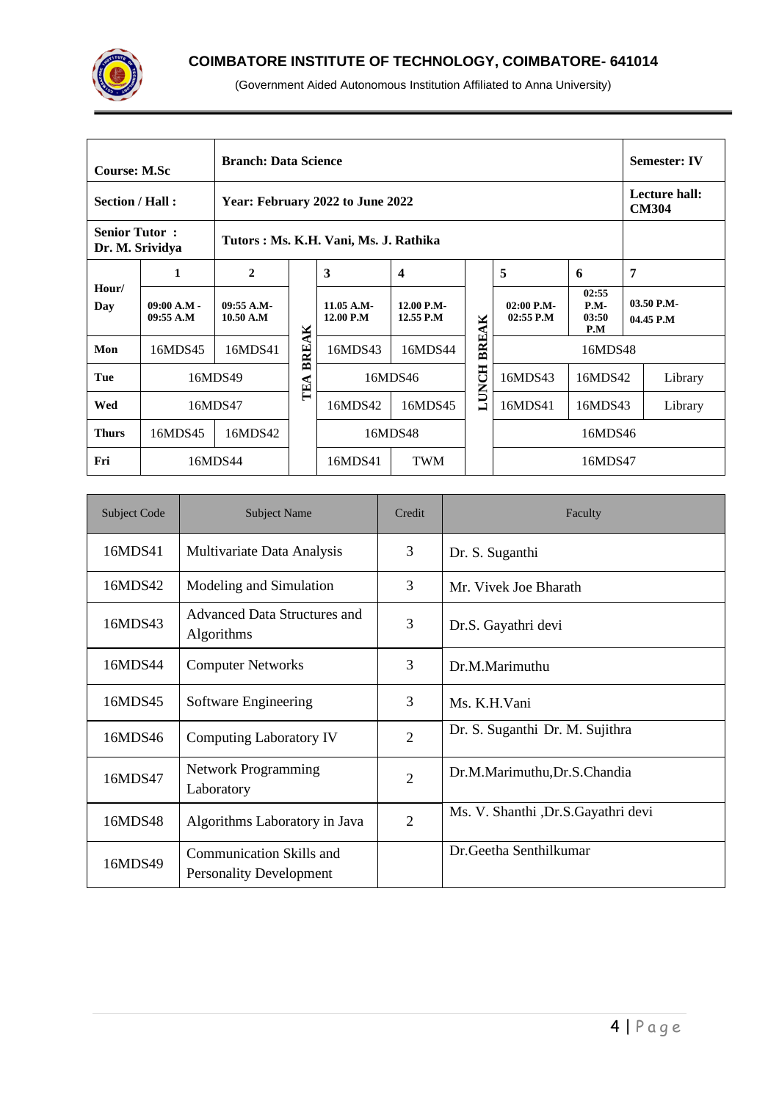

| <b>Branch: Data Science</b><br><b>Course: M.Sc</b>  |                            |                           |       |                                       |                         |              |                           |                                 |                    | <b>Semester: IV</b>       |
|-----------------------------------------------------|----------------------------|---------------------------|-------|---------------------------------------|-------------------------|--------------|---------------------------|---------------------------------|--------------------|---------------------------|
| Section / Hall:<br>Year: February 2022 to June 2022 |                            |                           |       |                                       |                         |              |                           | Lecture hall:<br><b>CM304</b>   |                    |                           |
| <b>Senior Tutor:</b><br>Dr. M. Srividya             |                            |                           |       | Tutors: Ms. K.H. Vani, Ms. J. Rathika |                         |              |                           |                                 |                    |                           |
|                                                     | 1                          | $\mathbf{2}$              |       | 3                                     | 4                       |              | 5                         | 6                               | 7                  |                           |
| Hour/<br>Day                                        | $09:00 A.M -$<br>09:55 A.M | $09:55 A.M-$<br>10.50 A.M |       | $11.05$ A.M-<br>12.00 P.M             | 12.00 P.M-<br>12.55 P.M |              | 02:00 P.M-<br>$02:55$ P.M | 02:55<br>$P.M-$<br>03:50<br>P.M |                    | $03.50$ P.M-<br>04.45 P.M |
| Mon                                                 | 16MDS45                    | 16MDS41                   | BREAK | 16MDS43                               | 16MDS44                 | BREAK        | 16MDS48                   |                                 |                    |                           |
| Tue                                                 |                            | 16MDS49                   | TEA   | 16MDS46                               |                         | <b>LUNCH</b> | 16MDS43                   |                                 | 16MDS42<br>Library |                           |
| Wed                                                 |                            | 16MDS47                   |       |                                       | 16MDS45                 |              | 16MDS41                   | 16MDS43                         |                    | Library                   |
| <b>Thurs</b>                                        | 16MDS45                    | 16MDS42                   |       | 16MDS48                               |                         |              |                           | 16MDS46                         |                    |                           |
| Fri                                                 |                            | 16MDS44                   |       | 16MDS41                               | <b>TWM</b>              |              |                           | 16MDS47                         |                    |                           |

| <b>Subject Code</b> | <b>Subject Name</b>                                        | Credit         | Faculty                               |  |  |  |
|---------------------|------------------------------------------------------------|----------------|---------------------------------------|--|--|--|
| 16MDS41             | Multivariate Data Analysis                                 | 3              | Dr. S. Suganthi                       |  |  |  |
| 16MDS42             | Modeling and Simulation                                    | 3              | Mr. Vivek Joe Bharath                 |  |  |  |
| 16MDS43             | Advanced Data Structures and<br>Algorithms                 | 3              | Dr.S. Gayathri devi                   |  |  |  |
| 16MDS44             | <b>Computer Networks</b>                                   | 3              | Dr.M.Marimuthu                        |  |  |  |
| 16MDS45             | Software Engineering                                       | 3              | Ms. K.H. Vani                         |  |  |  |
| 16MDS46             | <b>Computing Laboratory IV</b>                             | $\overline{2}$ | Dr. S. Suganthi Dr. M. Sujithra       |  |  |  |
| 16MDS47             | <b>Network Programming</b><br>Laboratory                   | $\overline{2}$ | Dr.M.Marimuthu, Dr.S.Chandia          |  |  |  |
| 16MDS48             | Algorithms Laboratory in Java                              | $\overline{2}$ | Ms. V. Shanthi , Dr. S. Gayathri devi |  |  |  |
| 16MDS49             | Communication Skills and<br><b>Personality Development</b> |                | Dr. Geetha Senthilkumar               |  |  |  |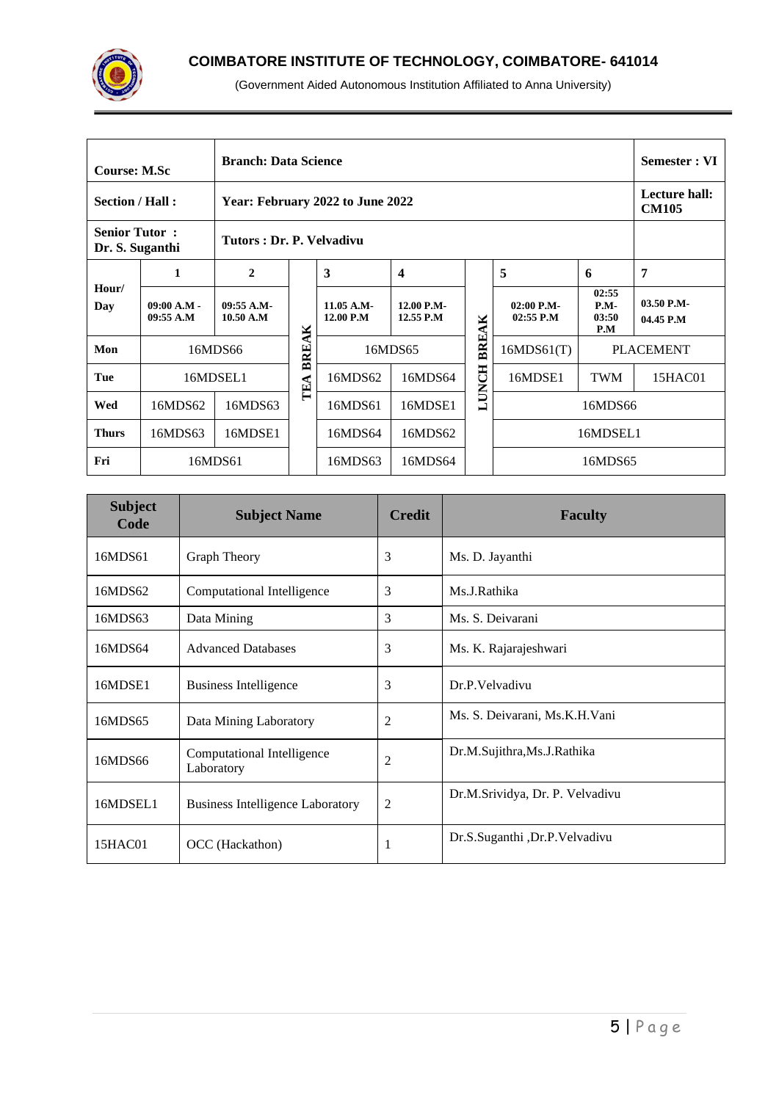

| <b>Branch: Data Science</b><br><b>Course: M.Sc</b>  |                                                                     |                        |       |                           |                         |              |                             | Semester : VI                   |                           |
|-----------------------------------------------------|---------------------------------------------------------------------|------------------------|-------|---------------------------|-------------------------|--------------|-----------------------------|---------------------------------|---------------------------|
| Section / Hall:<br>Year: February 2022 to June 2022 |                                                                     |                        |       |                           |                         |              |                             | Lecture hall:<br><b>CM105</b>   |                           |
|                                                     | <b>Senior Tutor:</b><br>Tutors: Dr. P. Velvadivu<br>Dr. S. Suganthi |                        |       |                           |                         |              |                             |                                 |                           |
|                                                     | 1                                                                   | $\mathbf{2}$           |       | 3                         | $\boldsymbol{4}$        |              | 5                           | 6                               | 7                         |
| Hour/<br>Day                                        | $09:00 A.M -$<br>09:55 A.M                                          | 09:55 A.M<br>10.50 A.M |       | $11.05$ A.M-<br>12.00 P.M | 12.00 P.M-<br>12.55 P.M |              | $02:00$ P.M-<br>$02:55$ P.M | 02:55<br>$P.M-$<br>03:50<br>P.M | $03.50$ P.M-<br>04.45 P.M |
| Mon                                                 |                                                                     | 16MDS66                | BREAK | 16MDS65                   |                         | BREAK        | 16MDS61(T)                  | <b>PLACEMENT</b>                |                           |
| Tue                                                 |                                                                     | 16MDSEL1               | TEA   | 16MDS62                   | 16MDS64                 | <b>LUNCH</b> | 16MDSE1                     | <b>TWM</b>                      | 15HAC01                   |
| Wed                                                 | 16MDS62                                                             | 16MDS63                |       | 16MDS61                   | 16MDSE1                 |              | 16MDS66                     |                                 |                           |
| <b>Thurs</b>                                        | 16MDS63                                                             | 16MDSE1                |       | 16MDS64                   | 16MDS62                 |              | 16MDSEL1                    |                                 |                           |
| Fri                                                 |                                                                     | 16MDS61                |       | 16MDS63                   | 16MDS64                 |              | 16MDS65                     |                                 |                           |

| <b>Subject</b><br>Code | <b>Subject Name</b>                      | <b>Credit</b> | <b>Faculty</b>                  |
|------------------------|------------------------------------------|---------------|---------------------------------|
| 16MDS61                | <b>Graph Theory</b>                      | 3             | Ms. D. Jayanthi                 |
| 16MDS62                | Computational Intelligence               | 3             | Ms.J.Rathika                    |
| 16MDS63                | Data Mining                              | 3             | Ms. S. Deivarani                |
| 16MDS64                | <b>Advanced Databases</b>                | 3             | Ms. K. Rajarajeshwari           |
| 16MDSE1                | <b>Business Intelligence</b>             | 3             | Dr.P.Velvadivu                  |
| 16MDS65                | Data Mining Laboratory                   | 2             | Ms. S. Deivarani, Ms.K.H.Vani   |
| 16MDS66                | Computational Intelligence<br>Laboratory | 2             | Dr.M.Sujithra,Ms.J.Rathika      |
| 16MDSEL1               | <b>Business Intelligence Laboratory</b>  | 2             | Dr.M.Srividya, Dr. P. Velvadivu |
| 15HAC01                | OCC (Hackathon)                          | 1             | Dr.S.Suganthi ,Dr.P.Velvadivu   |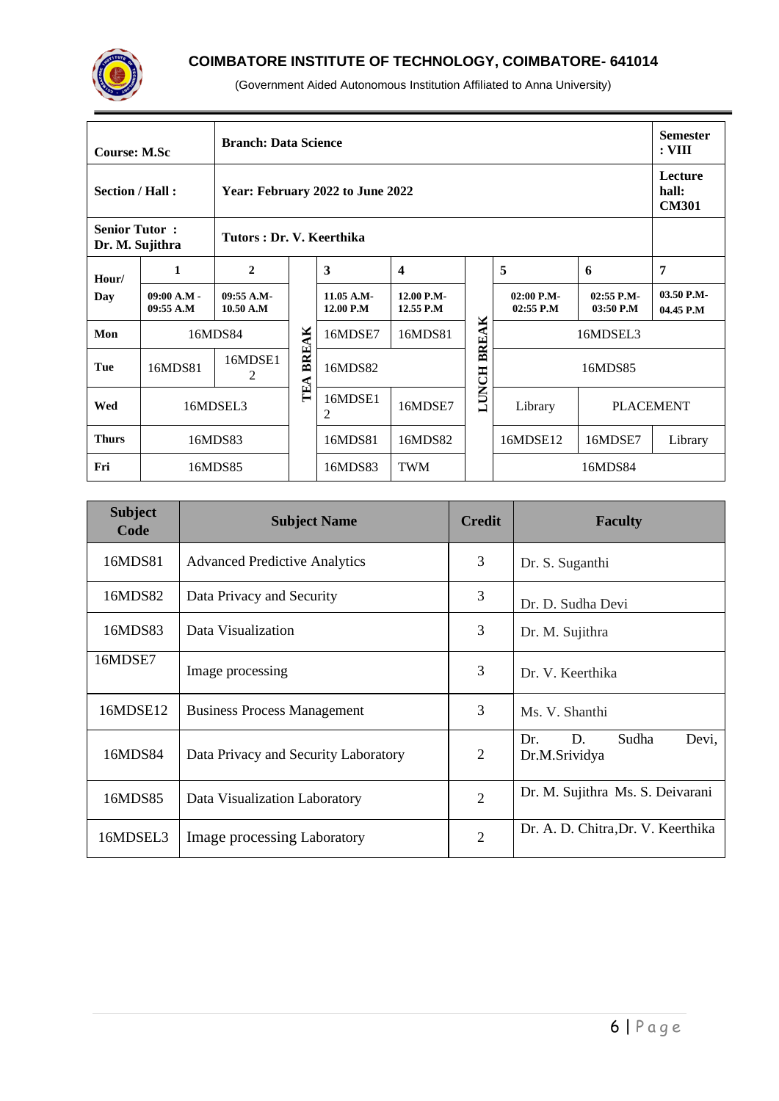

|                                                                     | <b>Branch: Data Science</b><br><b>Course: M.Sc</b> |                         |                                  |                         |                         |              |                             |                             | <b>Semester</b><br>: VIII        |
|---------------------------------------------------------------------|----------------------------------------------------|-------------------------|----------------------------------|-------------------------|-------------------------|--------------|-----------------------------|-----------------------------|----------------------------------|
| Section / Hall:                                                     |                                                    |                         | Year: February 2022 to June 2022 |                         |                         |              |                             |                             | Lecture<br>hall:<br><b>CM301</b> |
| <b>Senior Tutor:</b><br>Tutors: Dr. V. Keerthika<br>Dr. M. Sujithra |                                                    |                         |                                  |                         |                         |              |                             |                             |                                  |
| Hour/                                                               | 1                                                  | $\mathbf{2}$            |                                  | 3                       | $\overline{\mathbf{4}}$ |              | 5                           | 6                           | 7                                |
| Day                                                                 | $09:00 A.M -$<br>09:55 A.M                         | 09:55 A.M-<br>10.50 A.M |                                  | 11.05 A.M-<br>12.00 P.M | 12.00 P.M-<br>12.55 P.M |              | $02:00$ P.M-<br>$02:55$ P.M | $02:55$ P.M-<br>$03:50$ P.M | 03.50 P.M-<br>04.45 P.M          |
| Mon                                                                 |                                                    | 16MDS84                 | AK                               | 16MDSE7                 | 16MDS81                 | <b>BREAK</b> |                             |                             |                                  |
| Tue                                                                 | 16MDS81                                            | 16MDSE1<br>2            | BRE.                             | 16MDS82                 |                         |              |                             | 16MDS85                     |                                  |
| Wed                                                                 |                                                    | 16MDSEL3                | TEA<br>16MDSE1<br>2              |                         | 16MDSE7                 | LUNCH        | Library                     |                             | <b>PLACEMENT</b>                 |
| <b>Thurs</b>                                                        |                                                    | 16MDS83                 |                                  | 16MDS81                 | 16MDS82                 |              | 16MDSE12                    | 16MDSE7                     | Library                          |
| Fri                                                                 |                                                    | 16MDS85                 |                                  | 16MDS83                 | <b>TWM</b>              |              |                             |                             |                                  |

| <b>Subject</b><br>Code | <b>Subject Name</b>                  | <b>Credit</b> | <b>Faculty</b>                               |
|------------------------|--------------------------------------|---------------|----------------------------------------------|
| 16MDS81                | <b>Advanced Predictive Analytics</b> | 3             | Dr. S. Suganthi                              |
| 16MDS82                | Data Privacy and Security            | 3             | Dr. D. Sudha Devi                            |
| 16MDS83                | Data Visualization                   | 3             | Dr. M. Sujithra                              |
| 16MDSE7                | Image processing                     | 3             | Dr. V. Keerthika                             |
| 16MDSE12               | <b>Business Process Management</b>   | 3             | Ms. V. Shanthi                               |
| 16MDS84                | Data Privacy and Security Laboratory | 2             | Sudha<br>Devi,<br>Dr.<br>D.<br>Dr.M.Srividya |
| 16MDS85                | Data Visualization Laboratory        | 2             | Dr. M. Sujithra Ms. S. Deivarani             |
| 16MDSEL3               | Image processing Laboratory          | 2             | Dr. A. D. Chitra, Dr. V. Keerthika           |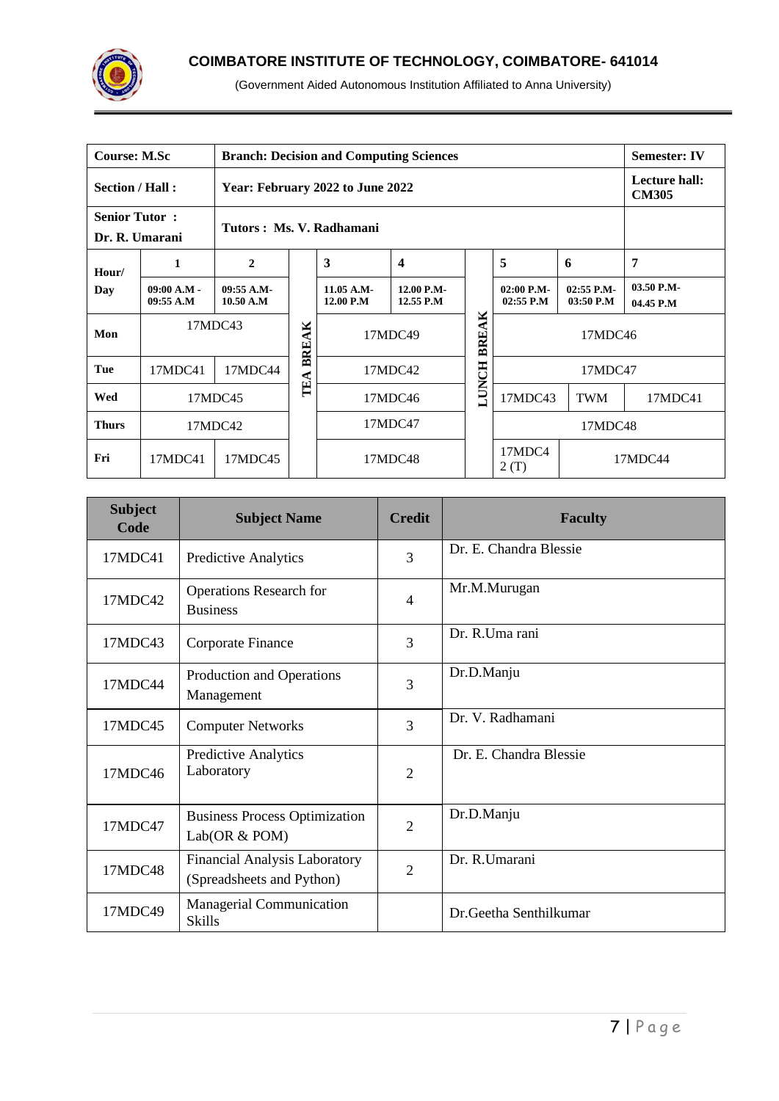

| <b>Course: M.Sc</b>                                 |                            | <b>Branch: Decision and Computing Sciences</b><br><b>Semester: IV</b> |                  |                                                                                    |         |              |                               |                             |                         |  |
|-----------------------------------------------------|----------------------------|-----------------------------------------------------------------------|------------------|------------------------------------------------------------------------------------|---------|--------------|-------------------------------|-----------------------------|-------------------------|--|
| Section / Hall:<br>Year: February 2022 to June 2022 |                            |                                                                       |                  |                                                                                    |         |              | Lecture hall:<br><b>CM305</b> |                             |                         |  |
| <b>Senior Tutor:</b>                                |                            |                                                                       |                  | Tutors: Ms. V. Radhamani                                                           |         |              |                               |                             |                         |  |
| Dr. R. Umarani                                      |                            |                                                                       |                  |                                                                                    |         |              |                               |                             |                         |  |
| Hour/                                               | 1                          | $\mathbf{2}$                                                          |                  | 3<br>$\overline{\mathbf{4}}$<br>11.05 A.M-<br>12.00 P.M-<br>12.00 P.M<br>12.55 P.M |         |              | 5                             | 6                           | 7                       |  |
| Day                                                 | $09:00 A.M -$<br>09:55 A.M | 09:55 A.M<br>10.50 A.M                                                |                  |                                                                                    |         |              | $02:00$ P.M-<br>$02:55$ P.M   | $02:55$ P.M-<br>$03:50$ P.M | 03.50 P.M-<br>04.45 P.M |  |
| Mon                                                 | 17MDC43                    |                                                                       | ×<br><b>BREA</b> | 17MDC49                                                                            |         | BREAK        | 17MDC46                       |                             |                         |  |
| Tue                                                 | 17MDC41                    | 17MDC44                                                               |                  |                                                                                    | 17MDC42 | <b>LUNCH</b> |                               | 17MDC47                     |                         |  |
| Wed                                                 |                            | 17MDC45                                                               | TEA              | 17MDC46                                                                            |         |              | 17MDC43                       | <b>TWM</b>                  | 17MDC41                 |  |
| <b>Thurs</b>                                        |                            | 17MDC42                                                               |                  | 17MDC47                                                                            |         |              | 17MDC48                       |                             |                         |  |
| Fri                                                 | 17MDC41                    | 17MDC45                                                               |                  | 17MDC48                                                                            |         |              | 17MDC4<br>2(T)                |                             | 17MDC44                 |  |

| <b>Subject</b><br>Code | <b>Subject Name</b>                                               | <b>Credit</b>  | <b>Faculty</b>         |
|------------------------|-------------------------------------------------------------------|----------------|------------------------|
| 17MDC41                | <b>Predictive Analytics</b>                                       | 3              | Dr. E. Chandra Blessie |
| 17MDC42                | <b>Operations Research for</b><br><b>Business</b>                 | $\overline{4}$ | Mr.M.Murugan           |
| 17MDC43                | Corporate Finance                                                 | 3              | Dr. R.Uma rani         |
| 17MDC44                | Production and Operations<br>Management                           | 3              | Dr.D.Manju             |
| 17MDC45                | <b>Computer Networks</b>                                          | 3              | Dr. V. Radhamani       |
| 17MDC46                | <b>Predictive Analytics</b><br>Laboratory                         | 2              | Dr. E. Chandra Blessie |
| 17MDC47                | <b>Business Process Optimization</b><br>Lab(OR & POM)             | $\overline{2}$ | Dr.D.Manju             |
| 17MDC48                | <b>Financial Analysis Laboratory</b><br>(Spreadsheets and Python) | $\overline{2}$ | Dr. R.Umarani          |
| 17MDC49                | <b>Managerial Communication</b><br><b>Skills</b>                  |                | Dr.Geetha Senthilkumar |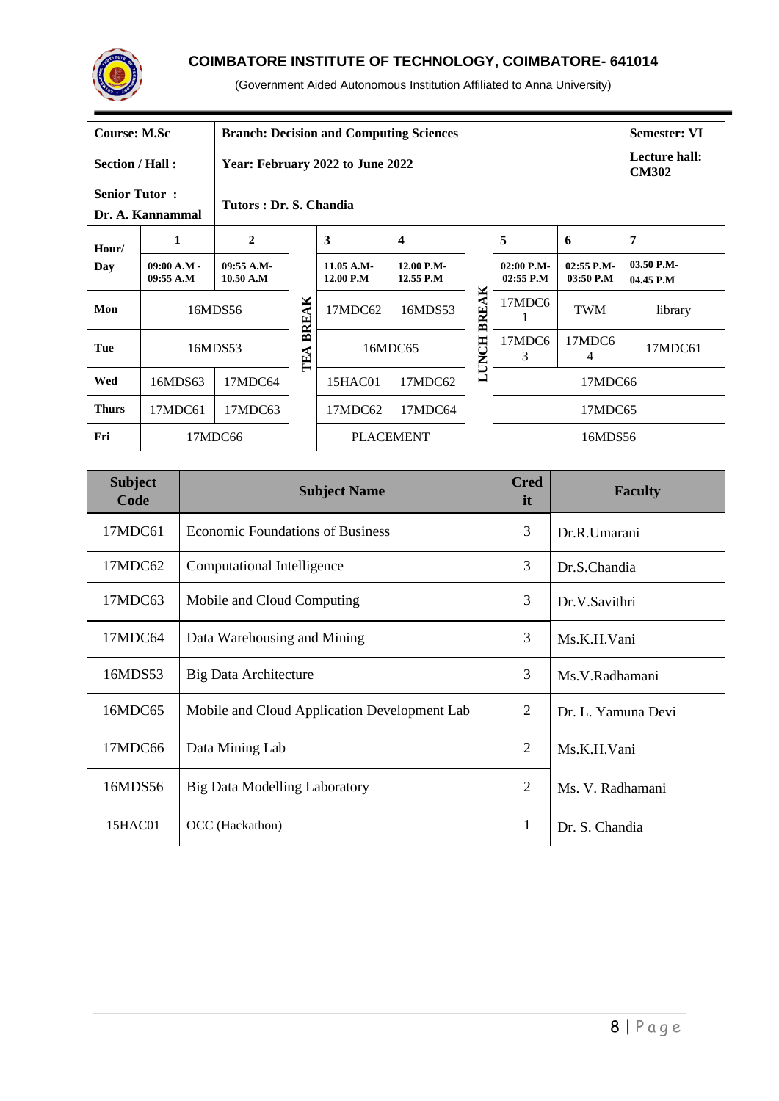

|                                                                    | <b>Course: M.Sc</b><br><b>Branch: Decision and Computing Sciences</b><br><b>Semester: VI</b> |                        |       |                         |                         |              |                               |                             |                         |
|--------------------------------------------------------------------|----------------------------------------------------------------------------------------------|------------------------|-------|-------------------------|-------------------------|--------------|-------------------------------|-----------------------------|-------------------------|
| Section / Hall:<br>Year: February 2022 to June 2022                |                                                                                              |                        |       |                         |                         |              | Lecture hall:<br><b>CM302</b> |                             |                         |
| <b>Senior Tutor:</b><br>Tutors: Dr. S. Chandia<br>Dr. A. Kannammal |                                                                                              |                        |       |                         |                         |              |                               |                             |                         |
| Hour/                                                              | 1                                                                                            | $\overline{2}$         |       | $\overline{\mathbf{3}}$ | $\boldsymbol{4}$        |              | 5                             | 6                           | 7                       |
| Day                                                                | $09:00 A.M -$<br>09:55 A.M                                                                   | 09:55 A.M<br>10.50 A.M |       | 11.05 A.M-<br>12.00 P.M | 12.00 P.M-<br>12.55 P.M |              | $02:00$ P.M-<br>$02:55$ P.M   | $02:55$ P.M-<br>$03:50$ P.M | 03.50 P.M-<br>04.45 P.M |
| Mon                                                                |                                                                                              | 16MDS56                | BREAK | 17MDC62                 | 16MDS53                 | BREAK        | 17MDC6                        | <b>TWM</b>                  | library                 |
| Tue                                                                |                                                                                              | 16MDS53                | TEA   | 16MDC65                 |                         | <b>LUNCH</b> | 17MDC6<br>3                   | 17MDC6<br>4                 | 17MDC61                 |
| Wed                                                                | 16MDS63                                                                                      | 17MDC64                |       | 15HAC01                 | 17MDC62                 |              | 17MDC66                       |                             |                         |
| <b>Thurs</b>                                                       | 17MDC61                                                                                      | 17MDC63                |       | 17MDC62<br>17MDC64      |                         |              | 17MDC65                       |                             |                         |
| Fri                                                                |                                                                                              | 17MDC66                |       | <b>PLACEMENT</b>        |                         |              |                               | 16MDS56                     |                         |

| <b>Subject</b><br>Code | <b>Subject Name</b>                          | <b>Cred</b><br>it | <b>Faculty</b>     |  |  |
|------------------------|----------------------------------------------|-------------------|--------------------|--|--|
| 17MDC61                | <b>Economic Foundations of Business</b>      | 3                 | Dr.R.Umarani       |  |  |
| 17MDC62                | Computational Intelligence                   | 3                 | Dr.S.Chandia       |  |  |
| 17MDC63                | Mobile and Cloud Computing                   | 3                 | Dr.V.Savithri      |  |  |
| 17MDC64                | Data Warehousing and Mining                  | 3                 | Ms.K.H.Vani        |  |  |
| 16MDS53                | Big Data Architecture                        | 3                 | Ms.V.Radhamani     |  |  |
| 16MDC65                | Mobile and Cloud Application Development Lab | $\mathfrak{2}$    | Dr. L. Yamuna Devi |  |  |
| 17MDC66                | Data Mining Lab                              | $\overline{2}$    | Ms.K.H.Vani        |  |  |
| 16MDS56                | Big Data Modelling Laboratory                | 2                 | Ms. V. Radhamani   |  |  |
| 15HAC01                | OCC (Hackathon)                              | $\mathbf{1}$      | Dr. S. Chandia     |  |  |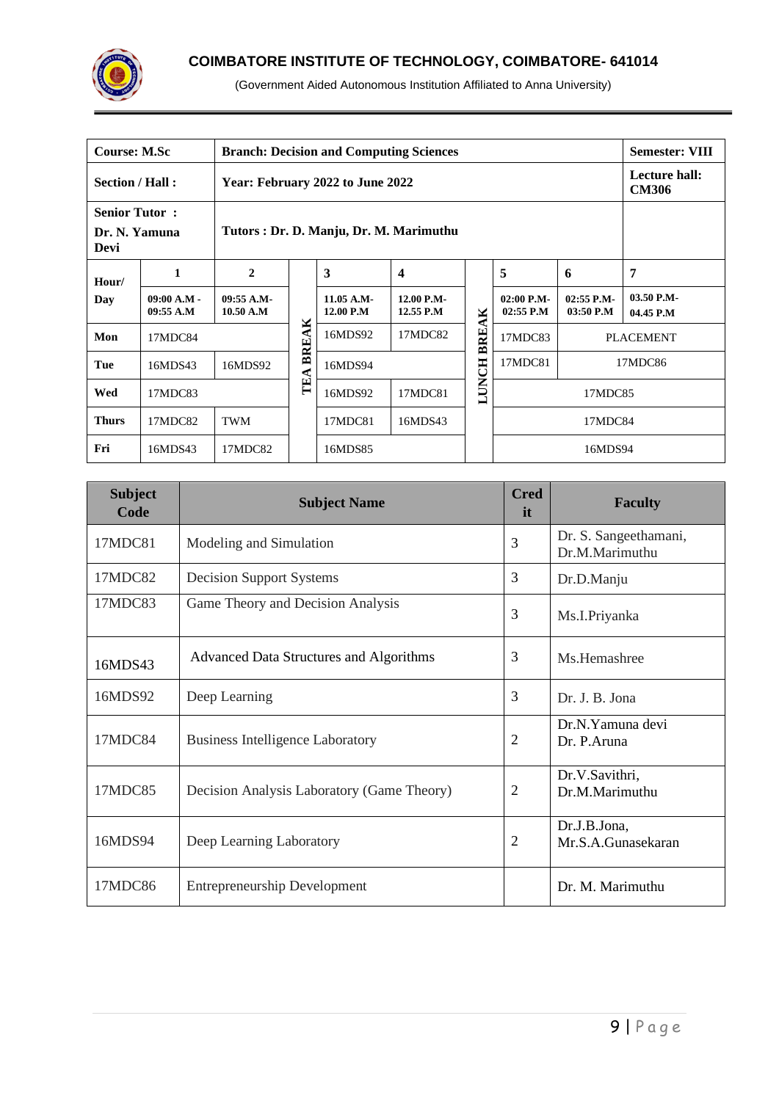

| <b>Course: M.Sc</b>                                                                      |                            | <b>Branch: Decision and Computing Sciences</b><br><b>Semester: VIII</b> |           |                           |                         |              |                               |                           |                         |
|------------------------------------------------------------------------------------------|----------------------------|-------------------------------------------------------------------------|-----------|---------------------------|-------------------------|--------------|-------------------------------|---------------------------|-------------------------|
| Section / Hall:<br>Year: February 2022 to June 2022                                      |                            |                                                                         |           |                           |                         |              | Lecture hall:<br><b>CM306</b> |                           |                         |
| <b>Senior Tutor:</b><br>Tutors : Dr. D. Manju, Dr. M. Marimuthu<br>Dr. N. Yamuna<br>Devi |                            |                                                                         |           |                           |                         |              |                               |                           |                         |
| Hour/                                                                                    | 1                          | $\mathbf{2}$                                                            |           | 3<br>$\boldsymbol{4}$     |                         |              | 5                             | 6                         | 7                       |
| Day                                                                                      | $09:00 A.M -$<br>09:55 A.M | 09:55 A.M<br>10.50 A.M                                                  |           | $11.05$ A.M-<br>12.00 P.M | 12.00 P.M-<br>12.55 P.M |              | $02:00$ P.M-<br>$02:55$ P.M   | $02:55$ P.M-<br>03:50 P.M | 03.50 P.M-<br>04.45 P.M |
| Mon                                                                                      | 17MDC84                    |                                                                         | ×<br>BREA | 16MDS92                   | 17MDC82                 | <b>BREAK</b> | 17MDC83                       |                           | <b>PLACEMENT</b>        |
| Tue                                                                                      | 16MDS43                    | 16MDS92                                                                 |           | 16MDS94                   |                         |              | 17MDC81<br>17MDC86            |                           |                         |
| Wed                                                                                      | 17MDC83                    |                                                                         | TEA       | 17MDC81<br>16MDS92        |                         | LUNCH        | 17MDC85                       |                           |                         |
| <b>Thurs</b>                                                                             | 17MDC82                    | <b>TWM</b>                                                              |           | 17MDC81<br>16MDS43        |                         |              | 17MDC84                       |                           |                         |
| Fri                                                                                      | 16MDS43                    | 17MDC82                                                                 |           | 16MDS85                   |                         |              | 16MDS94                       |                           |                         |

| <b>Subject</b><br>Code | <b>Subject Name</b>                            | <b>Cred</b><br>it. | <b>Faculty</b>                          |  |  |
|------------------------|------------------------------------------------|--------------------|-----------------------------------------|--|--|
| 17MDC81                | Modeling and Simulation                        | 3                  | Dr. S. Sangeethamani,<br>Dr.M.Marimuthu |  |  |
| 17MDC82                | <b>Decision Support Systems</b>                | 3                  | Dr.D.Manju                              |  |  |
| 17MDC83                | Game Theory and Decision Analysis              | 3                  | Ms.I.Priyanka                           |  |  |
| 16MDS43                | <b>Advanced Data Structures and Algorithms</b> | 3                  | Ms. Hemashree                           |  |  |
| 16MDS92                | Deep Learning                                  | 3                  | Dr. J. B. Jona                          |  |  |
| 17MDC84                | <b>Business Intelligence Laboratory</b>        | 2                  | Dr.N.Yamuna devi<br>Dr. P.Aruna         |  |  |
| 17MDC85                | Decision Analysis Laboratory (Game Theory)     | $\overline{2}$     | Dr.V.Savithri,<br>Dr.M.Marimuthu        |  |  |
| 16MDS94                | Deep Learning Laboratory                       | $\overline{2}$     | Dr.J.B.Jona,<br>Mr.S.A.Gunasekaran      |  |  |
| 17MDC86                | <b>Entrepreneurship Development</b>            |                    | Dr. M. Marimuthu                        |  |  |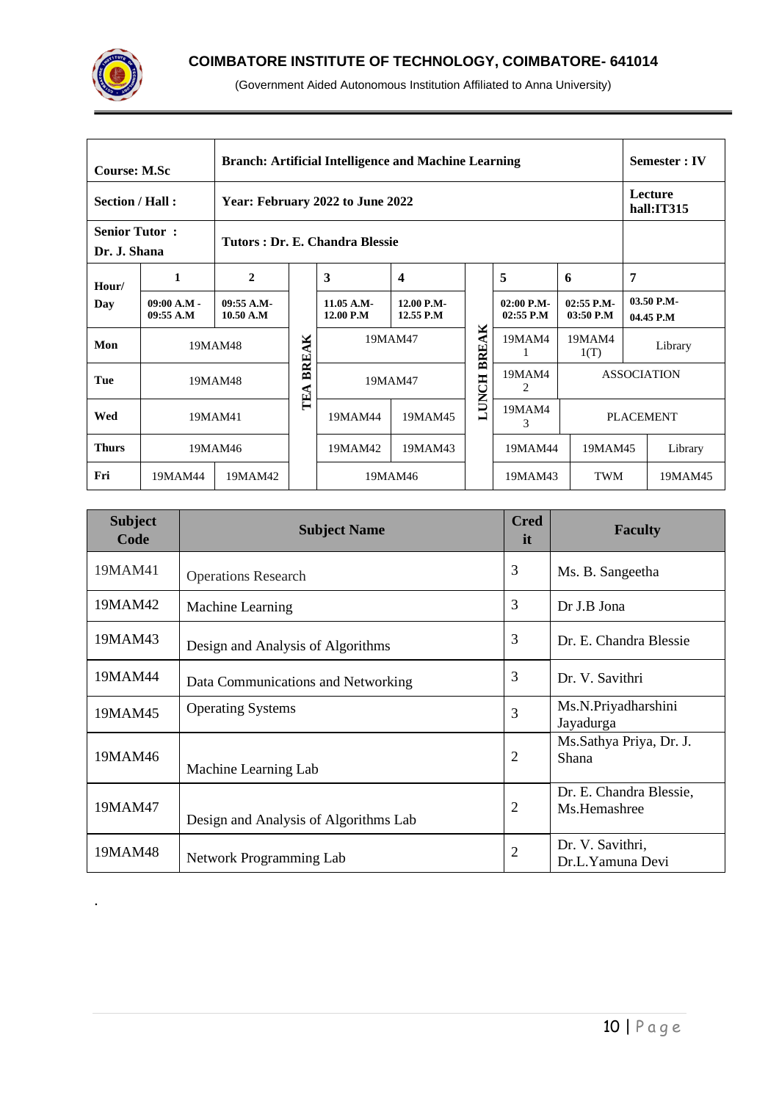

.

|                                      | <b>Branch: Artificial Intelligence and Machine Learning</b><br><b>Course: M.Sc</b> |                                |                    |                         |                         |              |                           |                             |   |                           |
|--------------------------------------|------------------------------------------------------------------------------------|--------------------------------|--------------------|-------------------------|-------------------------|--------------|---------------------------|-----------------------------|---|---------------------------|
| Section / Hall:                      | Year: February 2022 to June 2022                                                   |                                |                    |                         |                         |              |                           |                             |   | Lecture<br>hall:IT315     |
| <b>Senior Tutor:</b><br>Dr. J. Shana |                                                                                    | Tutors: Dr. E. Chandra Blessie |                    |                         |                         |              |                           |                             |   |                           |
| Hour/                                | 1                                                                                  | $\mathbf{2}$                   |                    | 3                       | $\overline{\mathbf{4}}$ | 5<br>6       |                           |                             | 7 |                           |
| Day                                  | $09:00 A.M -$<br>09:55 A.M                                                         | 09:55 A.M-<br>10.50 A.M        |                    | 11.05 A.M-<br>12.00 P.M | 12.00 P.M-<br>12.55 P.M |              | 02:00 P.M-<br>$02:55$ P.M | $02:55$ P.M-<br>$03:50$ P.M |   | $03.50$ P.M-<br>04.45 P.M |
| Mon                                  |                                                                                    | 19MAM48                        |                    | 19MAM47                 |                         | <b>BREAK</b> | 19MAM4<br>1               | 19MAM4<br>1(T)              |   | Library                   |
| Tue                                  |                                                                                    | 19MAM48                        | BREAK<br>TEA       |                         | 19MAM47                 | <b>LUNCH</b> | 19MAM4<br>2               |                             |   | <b>ASSOCIATION</b>        |
| Wed                                  |                                                                                    | 19MAM41                        |                    | 19MAM44<br>19MAM45      |                         |              | 19MAM4<br>3               | <b>PLACEMENT</b>            |   |                           |
| <b>Thurs</b>                         |                                                                                    | 19MAM46                        | 19MAM43<br>19MAM42 |                         |                         |              | 19MAM44                   | 19MAM45                     |   | Library                   |
| Fri                                  | 19MAM44                                                                            | 19MAM42                        |                    | 19MAM46                 |                         |              | 19MAM43                   | <b>TWM</b>                  |   | 19MAM45                   |

| <b>Subject</b><br>Code | <b>Subject Name</b>                   | <b>Cred</b><br>it. | <b>Faculty</b>                          |  |  |
|------------------------|---------------------------------------|--------------------|-----------------------------------------|--|--|
| 19MAM41                | <b>Operations Research</b>            | 3                  | Ms. B. Sangeetha                        |  |  |
| 19MAM42                | Machine Learning                      | 3                  | Dr J.B Jona                             |  |  |
| 19MAM43                | Design and Analysis of Algorithms     | 3                  | Dr. E. Chandra Blessie                  |  |  |
| 19MAM44                | Data Communications and Networking    | 3                  | Dr. V. Savithri                         |  |  |
| 19MAM45                | <b>Operating Systems</b>              | 3                  | Ms.N.Priyadharshini<br>Jayadurga        |  |  |
| 19MAM46                | Machine Learning Lab                  | $\overline{2}$     | Ms.Sathya Priya, Dr. J.<br>Shana        |  |  |
| 19MAM47                | Design and Analysis of Algorithms Lab | $\overline{2}$     | Dr. E. Chandra Blessie,<br>Ms.Hemashree |  |  |
| 19MAM48                | Network Programming Lab               | $\overline{2}$     | Dr. V. Savithri,<br>Dr.L.Yamuna Devi    |  |  |